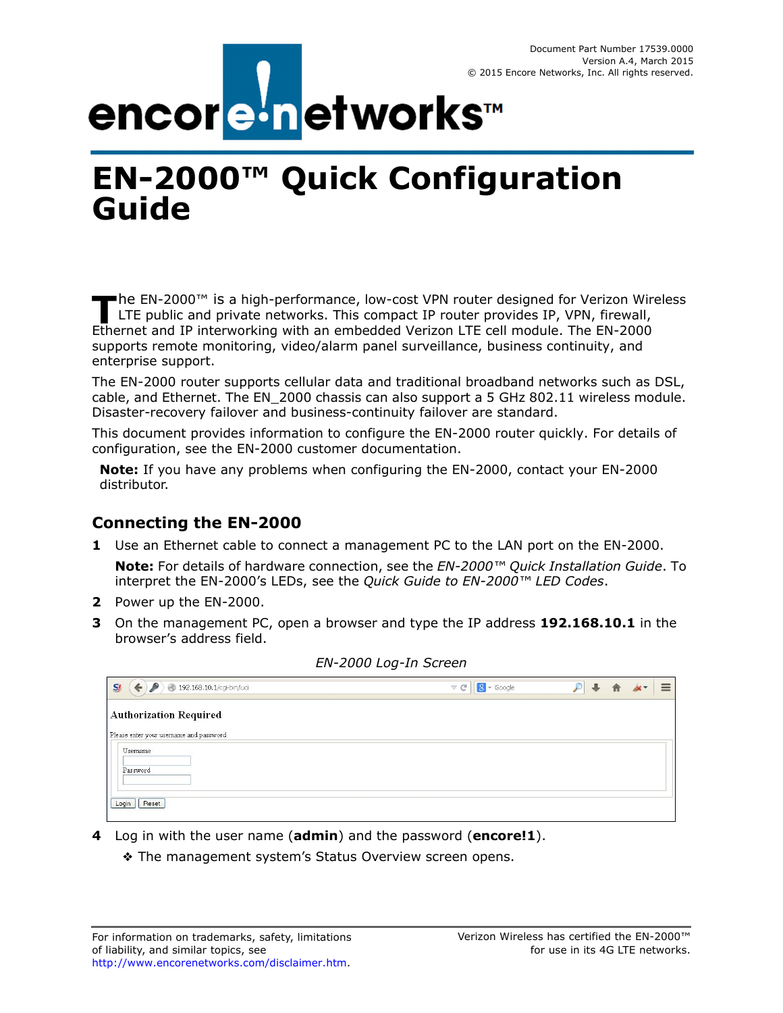

# **EN-2000™ Quick Configuration Guide**

he EN-2000™ is a high-performance, low-cost VPN router designed for Verizon Wireless The EN-2000™ is a high-performance, low-cost VPN router designed for Verizon Wire<br>
LTE public and private networks. This compact IP router provides IP, VPN, firewall, Ethernet and IP interworking with an embedded Verizon LTE cell module. The EN-2000 supports remote monitoring, video/alarm panel surveillance, business continuity, and enterprise support.

The EN-2000 router supports cellular data and traditional broadband networks such as DSL, cable, and Ethernet. The EN\_2000 chassis can also support a 5 GHz 802.11 wireless module. Disaster-recovery failover and business-continuity failover are standard.

This document provides information to configure the EN-2000 router quickly. For details of configuration, see the EN-2000 customer documentation.

**Note:** If you have any problems when configuring the EN-2000, contact your EN-2000 distributor.

## **Connecting the EN-2000**

<span id="page-0-0"></span>**1** Use an Ethernet cable to connect a management PC to the LAN port on the EN-2000.

**Note:** For details of hardware connection, see the *EN-2000™ Quick Installation Guide*. To interpret the EN-2000's LEDs, see the *Quick Guide to EN-2000™ LED Codes*.

- **2** Power up the EN-2000.
- **3** On the management PC, open a browser and type the IP address **192.168.10.1** in the browser's address field.

<span id="page-0-1"></span>

| $S_l$<br>192.168.10.1/cgi-bin/luci<br>$\mathcal{L} \subset \mathbb{C}^n$<br>$\leftarrow$ | $8 - Google$ |  |  | ≡ |
|------------------------------------------------------------------------------------------|--------------|--|--|---|
| <b>Authorization Required</b>                                                            |              |  |  |   |
| Please enter your username and password.                                                 |              |  |  |   |
| Username                                                                                 |              |  |  |   |
| Password                                                                                 |              |  |  |   |
|                                                                                          |              |  |  |   |
| Login<br>Reset                                                                           |              |  |  |   |
|                                                                                          |              |  |  |   |

*EN-2000 Log-In Screen* 

- **4** Log in with the user name (**admin**) and the password (**encore!1**).
	- ❖ The management system's Status Overview screen opens.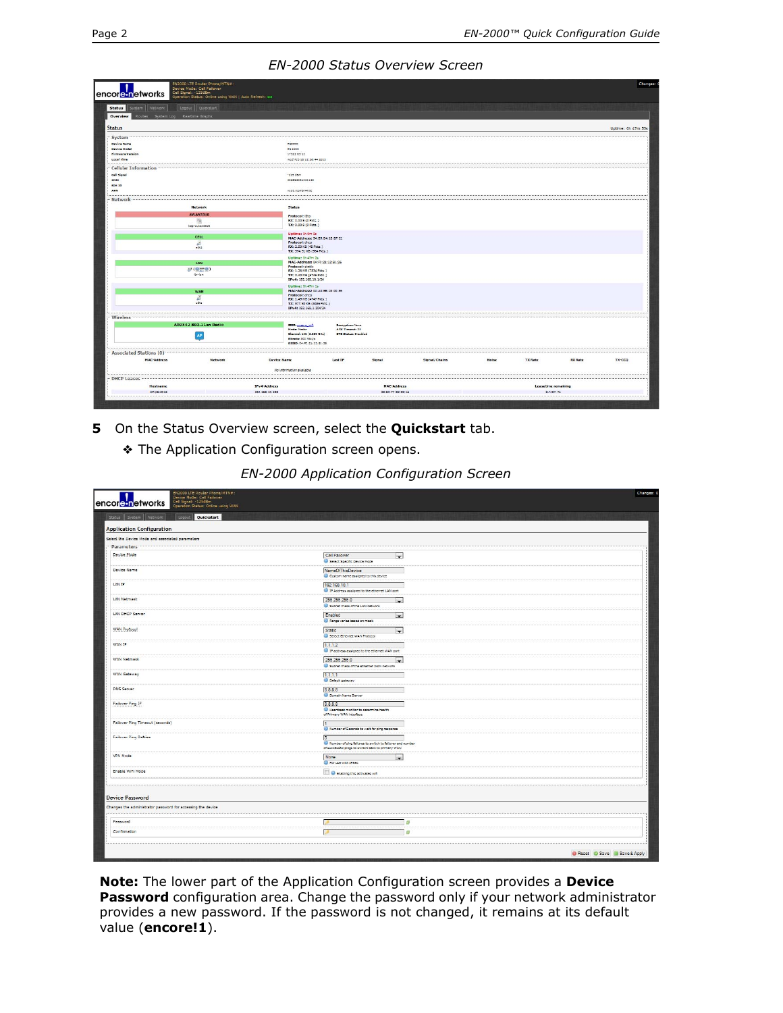#### *EN-2000 Status Overview Screen*

| 1<br>encoretnetworks                           | EN2000 LTE Router Phone/MTN#:<br>Device Mode: Cell Failover<br>Cell Signal: -12548m<br>Operation Status: Online using WAN   Auto Refresh: on |                                                        |                      |               |              |                     |                | Changes: (         |
|------------------------------------------------|----------------------------------------------------------------------------------------------------------------------------------------------|--------------------------------------------------------|----------------------|---------------|--------------|---------------------|----------------|--------------------|
| <b>Status</b><br>System Network                | Logout Quickstart                                                                                                                            |                                                        |                      |               |              |                     |                |                    |
| Overview<br>Routes System Log Realtime Graphs. |                                                                                                                                              |                                                        |                      |               |              |                     |                |                    |
| <b>Status</b>                                  |                                                                                                                                              |                                                        |                      |               |              |                     |                | Uptime: 0h 47m 55s |
| System                                         |                                                                                                                                              |                                                        |                      |               |              |                     |                |                    |
| Device Name                                    |                                                                                                                                              | EN2000                                                 |                      |               |              |                     |                |                    |
| Device Hodel                                   |                                                                                                                                              | EN 2000                                                |                      |               |              |                     |                |                    |
| Firmware Varsion                               |                                                                                                                                              | 17322 03 12                                            |                      |               |              |                     |                |                    |
| Local Time                                     |                                                                                                                                              | Wed reb 18 12:38:44 2015                               |                      |               |              |                     |                |                    |
| <b>Cellular Information</b>                    |                                                                                                                                              |                                                        |                      |               |              |                     |                |                    |
| Call Signal                                    |                                                                                                                                              | $-125$ diam                                            |                      |               |              |                     |                |                    |
| IMEL                                           |                                                                                                                                              | 359692051021120                                        |                      |               |              |                     |                |                    |
| SD4 ID<br>APN                                  |                                                                                                                                              | MEDI VENSTATIC                                         |                      |               |              |                     |                |                    |
|                                                |                                                                                                                                              |                                                        |                      |               |              |                     |                |                    |
| Network                                        | <b>Network</b>                                                                                                                               | <b>Status</b>                                          |                      |               |              |                     |                |                    |
|                                                | <b>AVLAN3316</b>                                                                                                                             |                                                        |                      |               |              |                     |                |                    |
|                                                | 75k                                                                                                                                          | Protocol: (2to)<br>RX: 0.00 B (0 Pkts.)                |                      |               |              |                     |                |                    |
|                                                | Izteravianzzas                                                                                                                               | TX: 0.00 B (0 Picts.)                                  |                      |               |              |                     |                |                    |
|                                                |                                                                                                                                              | Uptime: 0h 0m 0s                                       |                      |               |              |                     |                |                    |
|                                                | <b>CELL</b>                                                                                                                                  | MAC-Address: 94:89:84:18:8F:21                         |                      |               |              |                     |                |                    |
|                                                | 區                                                                                                                                            | Protocol: chco<br>RX: 2.50 KB (48 Pkts.)               |                      |               |              |                     |                |                    |
|                                                | $-22$                                                                                                                                        | TX: 374.51 KB (964 Pkts.)                              |                      |               |              |                     |                |                    |
|                                                |                                                                                                                                              | Uptime: On 47m 2s                                      |                      |               |              |                     |                |                    |
|                                                | LAN                                                                                                                                          | MAC-Address: 04:F0:21:12:B1:26                         |                      |               |              |                     |                |                    |
|                                                | BP(查兰曼)                                                                                                                                      | Protocol: static<br>RX: 1.26 MB (7834 Picts.)          |                      |               |              |                     |                |                    |
|                                                | brilan                                                                                                                                       | TX: 2.40 MB (6746 Pkts.)                               |                      |               |              |                     |                |                    |
|                                                |                                                                                                                                              | IPv4: 192.168.10.1/24                                  |                      |               |              |                     |                |                    |
|                                                | WAN                                                                                                                                          | Uptime: Oh 47m 1s<br>MAC-Address: 00:A0:EB:03:00:56    |                      |               |              |                     |                |                    |
|                                                | $\mathbb{Z}$                                                                                                                                 | Protocol: dhcp                                         |                      |               |              |                     |                |                    |
|                                                | $-21$                                                                                                                                        | RX: 1.48 MB (4747 Pkts.)<br>TX: 577.80 KB (3486 Pkts.) |                      |               |              |                     |                |                    |
|                                                |                                                                                                                                              | IPv4: 192.168.1.204/24                                 |                      |               |              |                     |                |                    |
| Wireless                                       |                                                                                                                                              |                                                        |                      |               |              |                     |                |                    |
|                                                | AR9342 802.11an Radio                                                                                                                        | 5500; phoens, with                                     | Encryption: None     |               |              |                     |                |                    |
|                                                |                                                                                                                                              | Mode: Master                                           | ACK Timeout: 22      |               |              |                     |                |                    |
|                                                | AP                                                                                                                                           | Chennel: 138 (5.680 GHz)<br>Sitrete: 300 Hb/J's        | Drs Stetus: Disabled |               |              |                     |                |                    |
|                                                |                                                                                                                                              | 85500:04:40:21:12:61:26                                |                      |               |              |                     |                |                    |
| Associated Stations (0)                        |                                                                                                                                              |                                                        |                      |               |              |                     |                |                    |
| <b>MAC-Address</b>                             | <b>Network</b>                                                                                                                               | <b>Device Name</b>                                     | Last IP<br>Signal    | Signal/Chains | <b>Noise</b> | <b>TX Rate</b>      | <b>RX Rate</b> | TX-CCQ             |
|                                                |                                                                                                                                              | No information available                               |                      |               |              |                     |                |                    |
|                                                |                                                                                                                                              |                                                        |                      |               |              |                     |                |                    |
| <b>DHCP Leases</b>                             |                                                                                                                                              |                                                        |                      |               |              |                     |                |                    |
| <b>Hostname</b>                                |                                                                                                                                              | IPv4-Address                                           | <b>MAC-Address</b>   |               |              | Leasetime remaining |                |                    |
| HP-p6-2016                                     |                                                                                                                                              | 192, 168, 10, 198                                      | 38:60:77:82:55:18    |               |              | 11h 8m 7s           |                |                    |

<span id="page-1-0"></span>**5** On the Status Overview screen, select the **Quickstart** tab.

❖ The Application Configuration screen opens.

|  | EN-2000 Application Configuration Screen |
|--|------------------------------------------|
|--|------------------------------------------|

| Status System Network<br><b>Constitution Cuickstart</b>     |                                                                                                                    |                             |
|-------------------------------------------------------------|--------------------------------------------------------------------------------------------------------------------|-----------------------------|
|                                                             |                                                                                                                    |                             |
| <b>Application Configuration</b>                            |                                                                                                                    |                             |
| Select the Device Mode and associated parameters            |                                                                                                                    |                             |
| · Parameters                                                |                                                                                                                    |                             |
| Device Mode                                                 | Cell Failover<br>cus.<br>Select Specific Device Mode                                                               |                             |
| Device Name                                                 | NameOfThisDevice<br>Custom name assigned to this device                                                            |                             |
| LAN IP                                                      | 192.168.10.1<br><sup>2</sup> IP Address assigned to the ethernet LAN port                                          |                             |
| LAN Netmask                                                 | 255.255.255.0<br>$\overline{\phantom{a}}$<br>Subnet mask of the LAN network                                        |                             |
| LAN DHCP Server                                             | Enabled<br>l.<br>Range varies based on mask                                                                        |                             |
| WAN Protocol                                                | <b>Static</b><br>$\overline{\phantom{a}}$<br>Select Ethernet WAN Protocol                                          |                             |
| WAN IP                                                      | 1.1.1.2<br>IP address assigned to the ethernet WAN port                                                            |                             |
| WAN Netmask                                                 | 255 255 255.0<br>$\left  \cdot \right $<br>Subnet mask of the ethernet WAN network                                 |                             |
| <b>WAN Gateway</b>                                          | 1.1.1.1<br><b>O</b> Default gateway                                                                                |                             |
| DNS Server                                                  | 8.8.8.8<br>C Domain Name Server                                                                                    |                             |
| Failover Ping IP                                            | 8.8.8.8<br><b>B</b> Heartbeat monitor to determine health<br>of Primary WAN Interface                              |                             |
| Failover Ping Timeout (seconds)                             | Number of Seconds to wait for ping response                                                                        |                             |
| Failover Ping Retries                                       | 5<br>Number of ping failures to switch to failover and number<br>of successful pings to switch back to primary WAN |                             |
| VPN Mode                                                    | None<br>$\rightarrow$<br>For use with IPSec                                                                        |                             |
| Enable WiFi Mode                                            | <b>D</b> Enabling this activates will                                                                              |                             |
|                                                             |                                                                                                                    |                             |
| <b>Device Password</b>                                      |                                                                                                                    |                             |
| Changes the administrator password for accessing the device |                                                                                                                    |                             |
| Password                                                    | œ                                                                                                                  |                             |
| Confirmation                                                | 田                                                                                                                  |                             |
|                                                             |                                                                                                                    | Reset C Save D Save & Apply |

**Note:** The lower part of the Application Configuration screen provides a **Device Password** configuration area. Change the password only if your network administrator provides a new password. If the password is not changed, it remains at its default value (**encore!1**).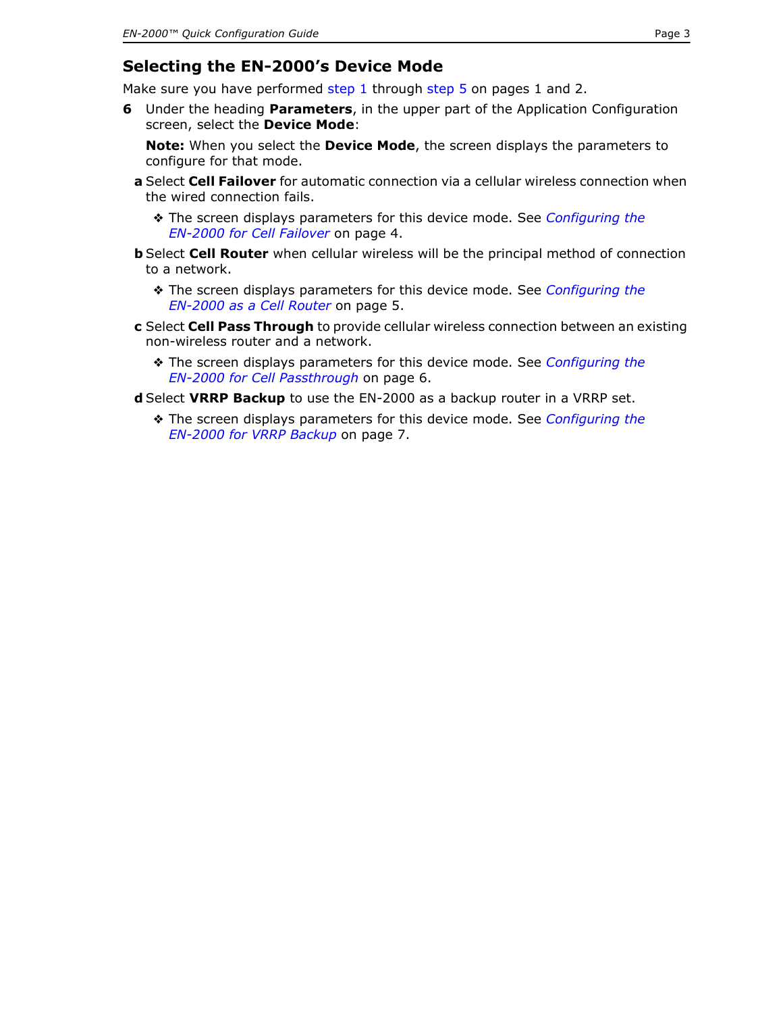## **Selecting the EN-2000's Device Mode**

Make sure you have performed [step 1](#page-0-0) through [step 5](#page-1-0) on [pages 1](#page-0-0) [and 2](#page-1-0).

<span id="page-2-0"></span>**6** Under the heading **Parameters**, in the upper part of the Application Configuration screen, select the **Device Mode**:

**Note:** When you select the **Device Mode**, the screen displays the parameters to configure for that mode.

- <span id="page-2-1"></span>**a** Select **Cell Failover** for automatic connection via a cellular wireless connection when the wired connection fails.
	- ❖ The screen displays parameters for this device mode. See *[Configuring the](#page-3-0)  [EN-2000 for Cell Failover](#page-3-0)* on [page 4.](#page-3-0)
- <span id="page-2-2"></span>**b** Select **Cell Router** when cellular wireless will be the principal method of connection to a network.
	- ❖ The screen displays parameters for this device mode. See *[Configuring the](#page-4-0)  [EN-2000 as a Cell Router](#page-4-0)* on [page 5.](#page-4-0)
- <span id="page-2-3"></span>**c** Select **Cell Pass Through** to provide cellular wireless connection between an existing non-wireless router and a network.
	- ❖ The screen displays parameters for this device mode. See *[Configuring the](#page-5-0)  [EN-2000 for Cell Passthrough](#page-5-0)* on [page 6](#page-5-0).
- <span id="page-2-4"></span>**d** Select **VRRP Backup** to use the EN-2000 as a backup router in a VRRP set.
	- ❖ The screen displays parameters for this device mode. See *[Configuring the](#page-6-0)  [EN-2000 for VRRP Backup](#page-6-0)* on [page 7](#page-6-0).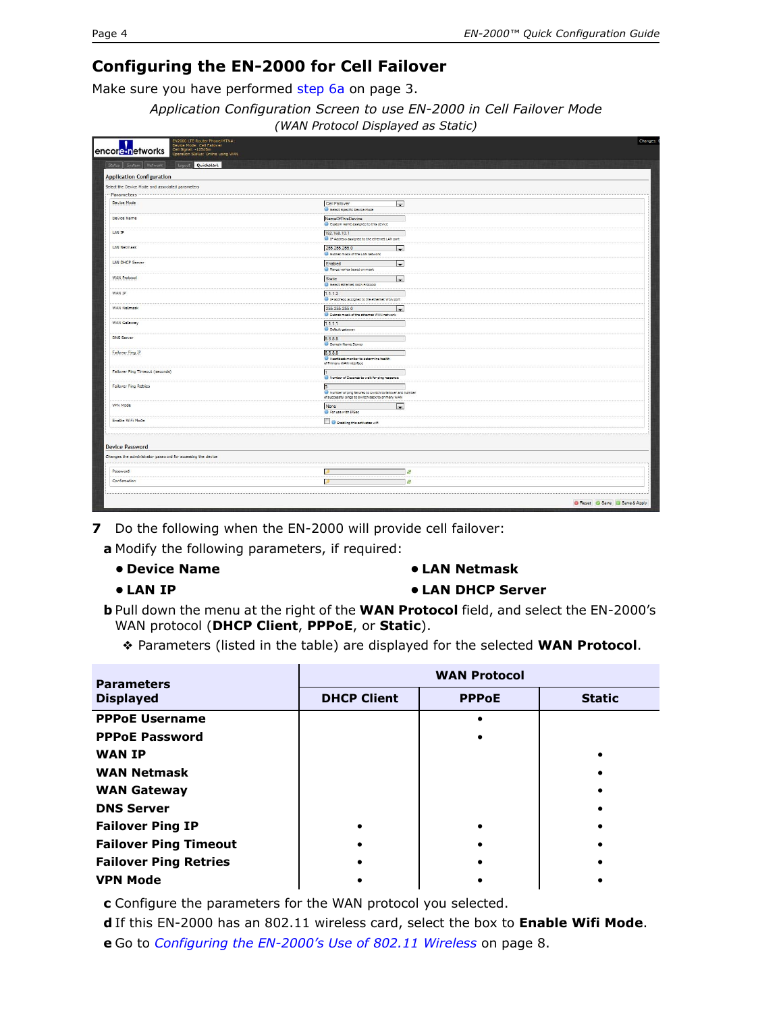## <span id="page-3-0"></span>**Configuring the EN-2000 for Cell Failover**

Make sure you have performed [step 6](#page-2-0)[a](#page-2-1) on [page 3](#page-2-0).

*Application Configuration Screen to use EN-2000 in Cell Failover Mode (WAN Protocol Displayed as Static)*

| Status System Network<br>Legaul Quickstart                  |                                                                                                                    |  |
|-------------------------------------------------------------|--------------------------------------------------------------------------------------------------------------------|--|
| <b>Application Configuration</b>                            |                                                                                                                    |  |
| Select the Device Mode and associated parameters            |                                                                                                                    |  |
| Parameters                                                  |                                                                                                                    |  |
| Device Mode                                                 | Cell Failover<br>$\sim$<br><b>B</b> Select Specific Device Mode                                                    |  |
| Device Name                                                 | NameOfThisDevice<br>Custom name assigned to this device                                                            |  |
| LAN IP                                                      | 192.168.10.1<br><sup>63</sup> IP Address assigned to the ethernet LAN port                                         |  |
| LAN Netmask                                                 | 255.255.255.0<br>$\overline{\phantom{a}}$<br>Subnet mask of the LAN network                                        |  |
| LAN DHCP Server                                             | Enabled<br>i.<br>Range varies based on mask                                                                        |  |
| WAN Protocol                                                | Static<br>$\blacksquare$<br>Select Bthernet WAN Protocol                                                           |  |
| WAN IP                                                      | 1.1.1.2<br><sup>19</sup> IP address assigned to the ethernet WAN port                                              |  |
| WAN Netmask                                                 | 255.255.255.0<br>$\blacksquare$<br>Subnet mask of the ethernet WAN network                                         |  |
| WAN Gateway                                                 | 1.1.1.1<br>O Detault cateway                                                                                       |  |
| <b>DNS Server</b>                                           | 8.8.8.8<br>Domain Name Server                                                                                      |  |
| Failover Ping IP                                            | 8.8.8.8<br>Heartbeat monitor to determine health<br>of Primary WAN Interface                                       |  |
| Failover Ping Timeout (seconds)                             | Number of Seconds to wait for ping response                                                                        |  |
| <b>Failover Ping Retries</b>                                | 5<br>Number of ping failures to switch to failover and number<br>of successful pings to switch back to primary WAN |  |
| VPN Mode                                                    | None<br>$\cdot$<br>For use with IPSec                                                                              |  |
| Enable WiFi Mode                                            | Enabling this activates wift                                                                                       |  |
| <b>Device Password</b>                                      |                                                                                                                    |  |
| Changes the administrator password for accessing the device |                                                                                                                    |  |
| Password                                                    | 28                                                                                                                 |  |
| Confirmation                                                | 49                                                                                                                 |  |

**7** Do the following when the EN-2000 will provide cell failover:

**a** Modify the following parameters, if required:

- **Device Name**
- **LAN IP**

#### **• LAN Netmask**

**• LAN DHCP Server**

**b** Pull down the menu at the right of the **WAN Protocol** field, and select the EN-2000's WAN protocol (**DHCP Client**, **PPPoE**, or **Static**).

❖ Parameters (listed in the table) are displayed for the selected **WAN Protocol**.

| <b>Parameters</b>            | <b>WAN Protocol</b> |              |               |  |  |  |
|------------------------------|---------------------|--------------|---------------|--|--|--|
| <b>Displayed</b>             | <b>DHCP Client</b>  | <b>PPPoE</b> | <b>Static</b> |  |  |  |
| <b>PPPoE Username</b>        |                     |              |               |  |  |  |
| <b>PPPoE Password</b>        |                     |              |               |  |  |  |
| <b>WAN IP</b>                |                     |              |               |  |  |  |
| <b>WAN Netmask</b>           |                     |              |               |  |  |  |
| <b>WAN Gateway</b>           |                     |              |               |  |  |  |
| <b>DNS Server</b>            |                     |              |               |  |  |  |
| <b>Failover Ping IP</b>      |                     |              |               |  |  |  |
| <b>Failover Ping Timeout</b> |                     |              |               |  |  |  |
| <b>Failover Ping Retries</b> |                     |              |               |  |  |  |
| <b>VPN Mode</b>              |                     |              |               |  |  |  |

**c** Configure the parameters for the WAN protocol you selected.

**d** If this EN-2000 has an 802.11 wireless card, select the box to **Enable Wifi Mode**.

**e** Go to *[Configuring the EN-2000's Use of 802.11 Wireless](#page-7-0)* on [page 8.](#page-7-0)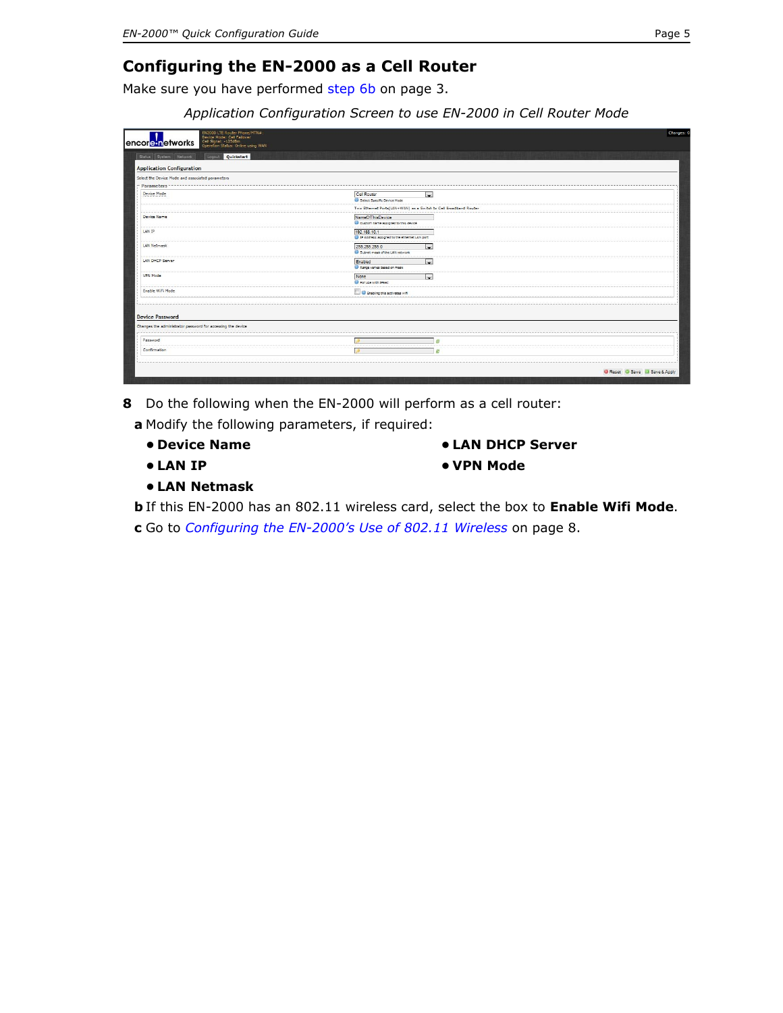# <span id="page-4-0"></span>**Configuring the EN-2000 as a Cell Router**

Make sure you have performed [step 6](#page-2-0)[b](#page-2-2) on [page 3.](#page-2-0)

*Application Configuration Screen to use EN-2000 in Cell Router Mode*

| EN2000 LTE Router Phone/MTN#:<br>٠<br>Device Mode: Cell Failover<br>Cell Signal: -12548m<br>Operation Status: Online using WAN<br>encore networks |                                                                           | Changes: 0                  |
|---------------------------------------------------------------------------------------------------------------------------------------------------|---------------------------------------------------------------------------|-----------------------------|
| Quickstart<br>Status System Network<br>Logout                                                                                                     |                                                                           |                             |
| <b>Application Configuration</b>                                                                                                                  |                                                                           |                             |
| Select the Device Mode and associated parameters                                                                                                  |                                                                           |                             |
| Parameters                                                                                                                                        |                                                                           |                             |
| Device Mode                                                                                                                                       | ⋥<br>Cell Router<br>Select Specific Device Mode                           |                             |
|                                                                                                                                                   | Two Ethernet Ports(LAN+WAN) as a Switch to Cell Broadband Router          |                             |
| Device Name                                                                                                                                       | NameOfThisDevice<br>Custom name assigned to this device                   |                             |
| LAN IP                                                                                                                                            | 192.168.10.1<br><sup>1</sup> IP Address assigned to the ethernet LAN port |                             |
| LAN Netmask                                                                                                                                       | 255.255.255.0<br>$\sim$<br>Subnet mask of the LAN network                 |                             |
| <b>LAN DHCP Server</b>                                                                                                                            | Enabled<br>in 1<br>Range varies based on mask                             |                             |
| VPN Mode                                                                                                                                          | $\overline{\phantom{0}}$<br>None<br><b>C</b> For use with IPSec           |                             |
| Enable WiFi Mode                                                                                                                                  | E C Enabling this activates will                                          |                             |
| <b>Device Password</b>                                                                                                                            |                                                                           |                             |
| Changes the administrator password for accessing the device                                                                                       |                                                                           |                             |
| Password                                                                                                                                          |                                                                           |                             |
| Confirmation                                                                                                                                      |                                                                           |                             |
|                                                                                                                                                   |                                                                           | Reset C Save U Save & Apply |

**8** Do the following when the EN-2000 will perform as a cell router:

**a** Modify the following parameters, if required:

- **Device Name**
- **LAN IP**
- **LAN DHCP Server**
- **VPN Mode**

- **LAN Netmask**
- **b** If this EN-2000 has an 802.11 wireless card, select the box to **Enable Wifi Mode**.
- **c** Go to *[Configuring the EN-2000's Use of 802.11 Wireless](#page-7-0)* on [page 8.](#page-7-0)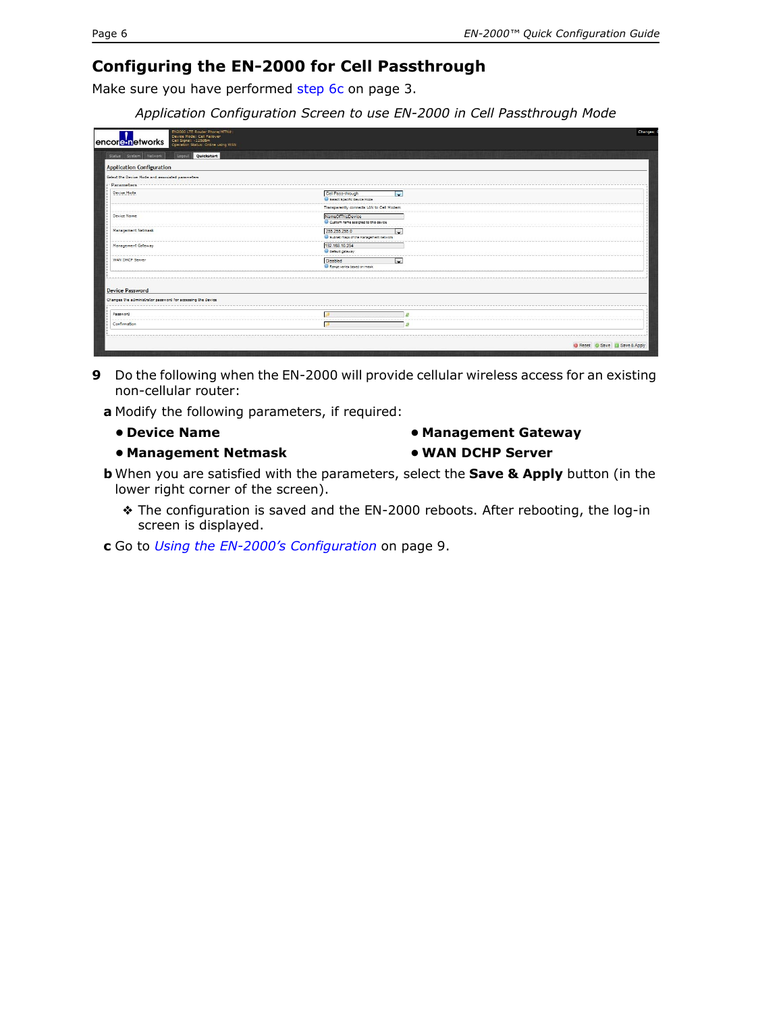## <span id="page-5-0"></span>**Configuring the EN-2000 for Cell Passthrough**

Make sure you have performed [step 6](#page-2-0)[c](#page-2-3) on [page 3.](#page-2-0)

*Application Configuration Screen to use EN-2000 in Cell Passthrough Mode*

| EN2000 LTE Router Phone/MTN#:<br>Device Mode: Cell Failover<br>Cell Signal: -125dBm<br>encore networks<br>Operation Status: Online using WAN |                                                               | Changes:                    |
|----------------------------------------------------------------------------------------------------------------------------------------------|---------------------------------------------------------------|-----------------------------|
| Quickstart<br>Status System Network<br>Logout                                                                                                |                                                               |                             |
| <b>Application Configuration</b>                                                                                                             |                                                               |                             |
| Select the Device Mode and associated parameters                                                                                             |                                                               |                             |
| Parameters                                                                                                                                   |                                                               |                             |
| Device Mode                                                                                                                                  | <b>P</b><br>Cell Pass-through<br>Select Specific Device Mode  |                             |
|                                                                                                                                              | Transparently connects LAN to Cell Modem                      |                             |
| Device Name                                                                                                                                  | NameOfThisDevice<br>Custom name assigned to this device       |                             |
| Management Netmask                                                                                                                           | 255.255.255.0<br>le.<br>Subnet mask of the Management network |                             |
| Management Gateway                                                                                                                           | 192.168.10.254<br><b>C</b> Default gateway                    |                             |
| WAN DHCP Server                                                                                                                              | Disabled<br><b>Contract</b><br>Range varies based on mask     |                             |
| <b>Device Password</b>                                                                                                                       |                                                               |                             |
| Changes the administrator password for accessing the device                                                                                  |                                                               |                             |
| Password                                                                                                                                     |                                                               |                             |
| Confirmation                                                                                                                                 | n                                                             |                             |
|                                                                                                                                              |                                                               | Reset C Save I Save & Apply |
|                                                                                                                                              |                                                               |                             |

- **9** Do the following when the EN-2000 will provide cellular wireless access for an existing non-cellular router:
	- **a** Modify the following parameters, if required:
		- **Device Name**
		- **Management Netmask**

**• Management Gateway**

### **• WAN DCHP Server**

- **b** When you are satisfied with the parameters, select the **Save & Apply** button (in the lower right corner of the screen).
	- ❖ The configuration is saved and the EN-2000 reboots. After rebooting, the log-in screen is displayed.
- **c** Go to *[Using the EN-2000's Configuration](#page-8-0)* on [page 9](#page-8-0).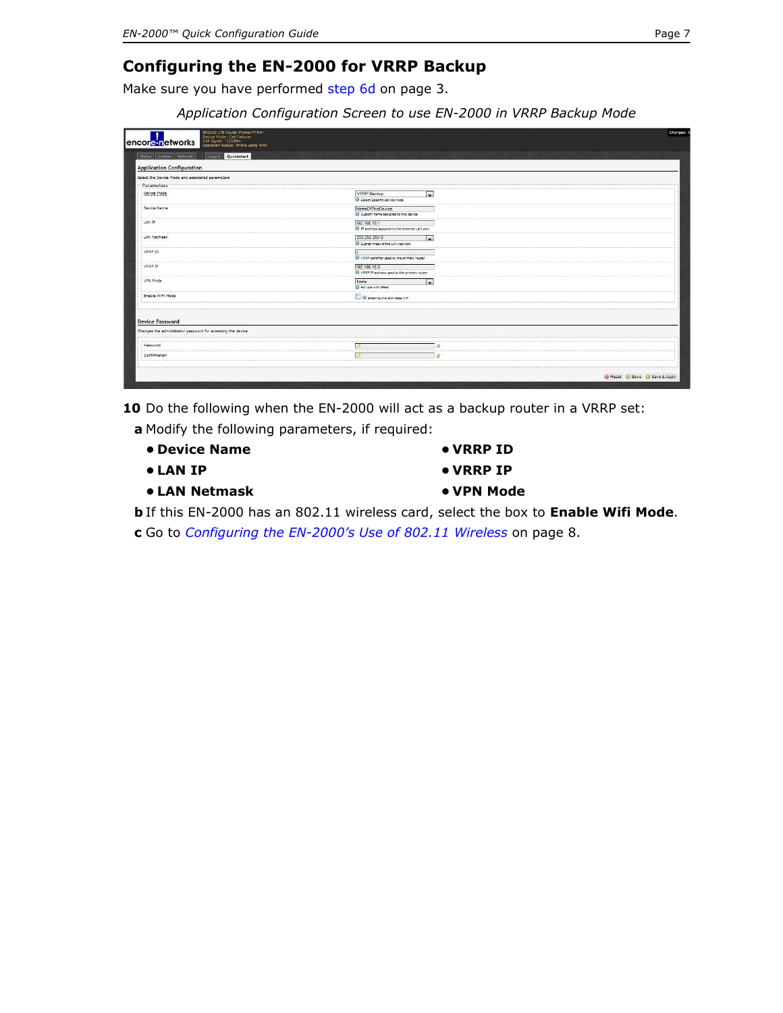# <span id="page-6-0"></span>**Configuring the EN-2000 for VRRP Backup**

Make sure you have performed [step 6](#page-2-0)[d](#page-2-4) on [page 3.](#page-2-0)

*Application Configuration Screen to use EN-2000 in VRRP Backup Mode*

| <b>VRRP Backup</b><br>$\overline{ }$<br>Select Specific Device Mode         |                             |
|-----------------------------------------------------------------------------|-----------------------------|
| <b>NameOfThisDevice</b><br>Custom name assigned to this device              |                             |
| 192.168.10.1<br><sup>2</sup> IP Address assigned to the ethernet LAN port   |                             |
| 255.255.255.0<br>$\overline{\phantom{a}}$<br>Subnet mask of the LAN network |                             |
| VRRP identifier used by the primary router                                  |                             |
| 192.168.10.3<br>VRRP IP address used by the primary router                  |                             |
| None<br>$\sim$<br>For use with IPSec                                        |                             |
| C Enabling this activates will                                              |                             |
|                                                                             |                             |
|                                                                             |                             |
| f8                                                                          |                             |
|                                                                             |                             |
|                                                                             | Reset C Save J Save & Apply |
|                                                                             |                             |

**10** Do the following when the EN-2000 will act as a backup router in a VRRP set:

- **a** Modify the following parameters, if required:
	- **Device Name**
	- **LAN IP**
	- **LAN Netmask**
- **VRRP ID**
- **VRRP IP**
- **VPN Mode**

**b** If this EN-2000 has an 802.11 wireless card, select the box to **Enable Wifi Mode**.

**c** Go to *[Configuring the EN-2000's Use of 802.11 Wireless](#page-7-0)* on [page 8.](#page-7-0)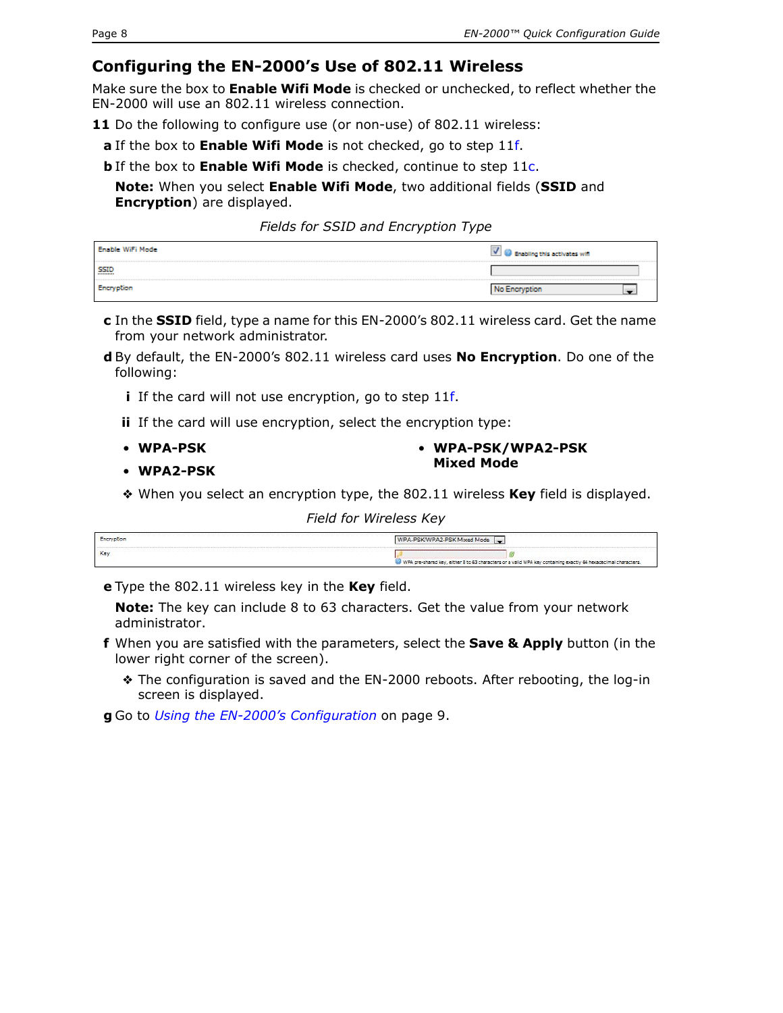## <span id="page-7-0"></span>**Configuring the EN-2000's Use of 802.11 Wireless**

Make sure the box to **Enable Wifi Mode** is checked or unchecked, to reflect whether the EN-2000 will use an 802.11 wireless connection.

<span id="page-7-1"></span>**11** Do the following to configure use (or non-use) of 802.11 wireless:

**a** If the box to **Enable Wifi Mode** is not checked, go to [step 11](#page-7-1)[f.](#page-7-3)

**b** If the box to **Enable Wifi Mode** is checked, continue to [step 11](#page-7-1)[c](#page-7-2).

**Note:** When you select **Enable Wifi Mode**, two additional fields (**SSID** and **Encryption**) are displayed.

*Fields for SSID and Encryption Type* 

| Enable Willi Mode | M G Enabling this activates will |
|-------------------|----------------------------------|
| <b>SSID</b><br>   |                                  |
|                   | No Encryption                    |

- <span id="page-7-2"></span>**c** In the **SSID** field, type a name for this EN-2000's 802.11 wireless card. Get the name from your network administrator.
- **d** By default, the EN-2000's 802.11 wireless card uses **No Encryption**. Do one of the following:
	- **i** If the card will not use encryption, go to [step 11](#page-7-1)[f.](#page-7-3)
	- **ii** If the card will use encryption, select the encryption type:
	- **WPA-PSK**

• **WPA-PSK/WPA2-PSK Mixed Mode**

- **WPA2-PSK**
- ❖ When you select an encryption type, the 802.11 wireless **Key** field is displayed.

#### *Field for Wireless Key*

| Forevotion | WPA-PSK/WPA2-PSK Mixed Mode                                                                                    |
|------------|----------------------------------------------------------------------------------------------------------------|
| <b>KC</b>  |                                                                                                                |
|            | WPA pre-shared key, either 8 to 63 characters or a vaild WPA key containing exactly 64 hexadecimal characters. |

**e** Type the 802.11 wireless key in the **Key** field.

**Note:** The key can include 8 to 63 characters. Get the value from your network administrator.

- <span id="page-7-3"></span>**f** When you are satisfied with the parameters, select the **Save & Apply** button (in the lower right corner of the screen).
	- ❖ The configuration is saved and the EN-2000 reboots. After rebooting, the log-in screen is displayed.

**g** Go to *[Using the EN-2000's Configuration](#page-8-0)* on [page 9](#page-8-0).